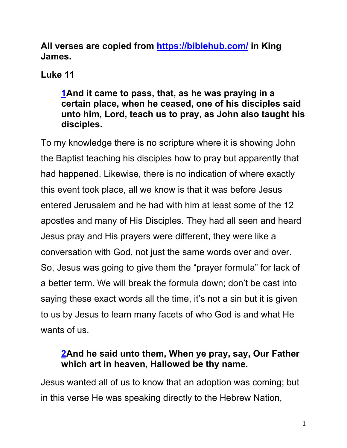**All verses are copied from https://biblehub.com/ in King James.** 

# **Luke 11**

#### **1And it came to pass, that, as he was praying in a certain place, when he ceased, one of his disciples said unto him, Lord, teach us to pray, as John also taught his disciples.**

To my knowledge there is no scripture where it is showing John the Baptist teaching his disciples how to pray but apparently that had happened. Likewise, there is no indication of where exactly this event took place, all we know is that it was before Jesus entered Jerusalem and he had with him at least some of the 12 apostles and many of His Disciples. They had all seen and heard Jesus pray and His prayers were different, they were like a conversation with God, not just the same words over and over. So, Jesus was going to give them the "prayer formula" for lack of a better term. We will break the formula down; don't be cast into saying these exact words all the time, it's not a sin but it is given to us by Jesus to learn many facets of who God is and what He wants of us.

#### **2And he said unto them, When ye pray, say, Our Father which art in heaven, Hallowed be thy name.**

Jesus wanted all of us to know that an adoption was coming; but in this verse He was speaking directly to the Hebrew Nation,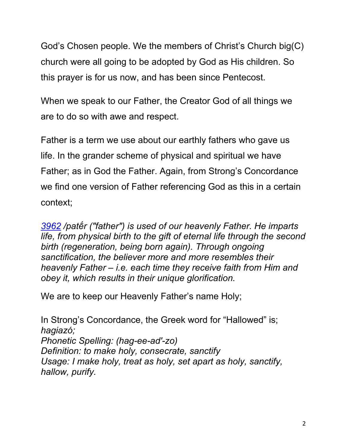God's Chosen people. We the members of Christ's Church big(C) church were all going to be adopted by God as His children. So this prayer is for us now, and has been since Pentecost.

When we speak to our Father, the Creator God of all things we are to do so with awe and respect.

Father is a term we use about our earthly fathers who gave us life. In the grander scheme of physical and spiritual we have Father; as in God the Father. Again, from Strong's Concordance we find one version of Father referencing God as this in a certain context;

*3962 /patḗr ("father") is used of our heavenly Father. He imparts life, from physical birth to the gift of eternal life through the second birth (regeneration, being born again). Through ongoing sanctification, the believer more and more resembles their heavenly Father – i.e. each time they receive faith from Him and obey it, which results in their unique glorification.*

We are to keep our Heavenly Father's name Holy;

In Strong's Concordance, the Greek word for "Hallowed" is; *hagiazó; Phonetic Spelling: (hag-ee-ad'-zo) Definition: to make holy, consecrate, sanctify Usage: I make holy, treat as holy, set apart as holy, sanctify, hallow, purify.*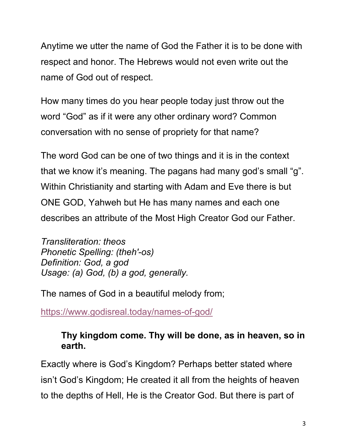Anytime we utter the name of God the Father it is to be done with respect and honor. The Hebrews would not even write out the name of God out of respect.

How many times do you hear people today just throw out the word "God" as if it were any other ordinary word? Common conversation with no sense of propriety for that name?

The word God can be one of two things and it is in the context that we know it's meaning. The pagans had many god's small "g". Within Christianity and starting with Adam and Eve there is but ONE GOD, Yahweh but He has many names and each one describes an attribute of the Most High Creator God our Father.

*Transliteration: theos Phonetic Spelling: (theh'-os) Definition: God, a god Usage: (a) God, (b) a god, generally.*

The names of God in a beautiful melody from;

https://www.godisreal.today/names-of-god/

# **Thy kingdom come. Thy will be done, as in heaven, so in earth.**

Exactly where is God's Kingdom? Perhaps better stated where isn't God's Kingdom; He created it all from the heights of heaven to the depths of Hell, He is the Creator God. But there is part of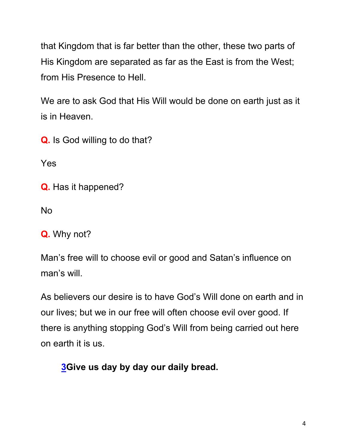that Kingdom that is far better than the other, these two parts of His Kingdom are separated as far as the East is from the West; from His Presence to Hell.

We are to ask God that His Will would be done on earth just as it is in Heaven.

**Q.** Is God willing to do that?

Yes

**Q.** Has it happened?

No

**Q.** Why not?

Man's free will to choose evil or good and Satan's influence on man's will.

As believers our desire is to have God's Will done on earth and in our lives; but we in our free will often choose evil over good. If there is anything stopping God's Will from being carried out here on earth it is us.

**3Give us day by day our daily bread.**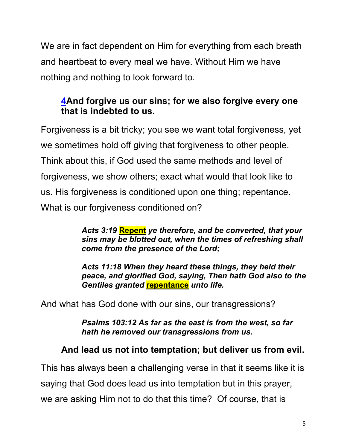We are in fact dependent on Him for everything from each breath and heartbeat to every meal we have. Without Him we have nothing and nothing to look forward to.

## **4And forgive us our sins; for we also forgive every one that is indebted to us.**

Forgiveness is a bit tricky; you see we want total forgiveness, yet we sometimes hold off giving that forgiveness to other people. Think about this, if God used the same methods and level of forgiveness, we show others; exact what would that look like to us. His forgiveness is conditioned upon one thing; repentance. What is our forgiveness conditioned on?

> *Acts 3:19* **Repent** *ye therefore, and be converted, that your sins may be blotted out, when the times of refreshing shall come from the presence of the Lord;*

*Acts 11:18 When they heard these things, they held their peace, and glorified God, saying, Then hath God also to the Gentiles granted* **repentance** *unto life.*

And what has God done with our sins, our transgressions?

*Psalms 103:12 As far as the east is from the west, so far hath he removed our transgressions from us.*

## **And lead us not into temptation; but deliver us from evil.**

This has always been a challenging verse in that it seems like it is saying that God does lead us into temptation but in this prayer, we are asking Him not to do that this time? Of course, that is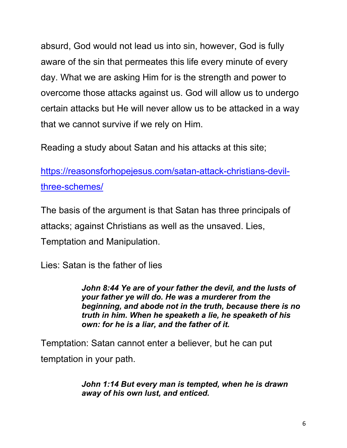absurd, God would not lead us into sin, however, God is fully aware of the sin that permeates this life every minute of every day. What we are asking Him for is the strength and power to overcome those attacks against us. God will allow us to undergo certain attacks but He will never allow us to be attacked in a way that we cannot survive if we rely on Him.

Reading a study about Satan and his attacks at this site;

https://reasonsforhopejesus.com/satan-attack-christians-devilthree-schemes/

The basis of the argument is that Satan has three principals of attacks; against Christians as well as the unsaved. Lies, Temptation and Manipulation.

Lies: Satan is the father of lies

*John 8:44 Ye are of your father the devil, and the lusts of your father ye will do. He was a murderer from the beginning, and abode not in the truth, because there is no truth in him. When he speaketh a lie, he speaketh of his own: for he is a liar, and the father of it.*

Temptation: Satan cannot enter a believer, but he can put temptation in your path.

> *John 1:14 But every man is tempted, when he is drawn away of his own lust, and enticed.*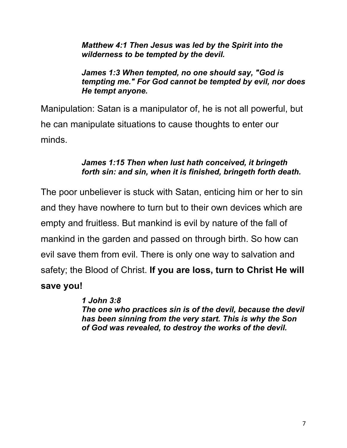*Matthew 4:1 Then Jesus was led by the Spirit into the wilderness to be tempted by the devil.*

#### *James 1:3 When tempted, no one should say, "God is tempting me." For God cannot be tempted by evil, nor does He tempt anyone.*

Manipulation: Satan is a manipulator of, he is not all powerful, but he can manipulate situations to cause thoughts to enter our minds.

#### *James 1:15 Then when lust hath conceived, it bringeth forth sin: and sin, when it is finished, bringeth forth death.*

The poor unbeliever is stuck with Satan, enticing him or her to sin and they have nowhere to turn but to their own devices which are empty and fruitless. But mankind is evil by nature of the fall of mankind in the garden and passed on through birth. So how can evil save them from evil. There is only one way to salvation and safety; the Blood of Christ. **If you are loss, turn to Christ He will save you!**

#### *1 John 3:8 The one who practices sin is of the devil, because the devil has been sinning from the very start. This is why the Son of God was revealed, to destroy the works of the devil.*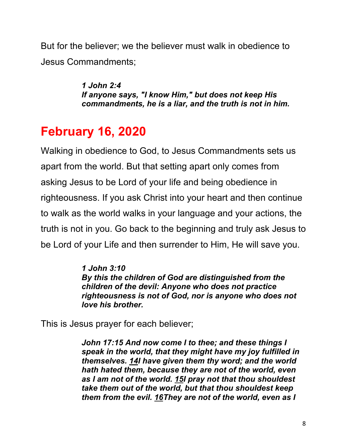But for the believer; we the believer must walk in obedience to Jesus Commandments;

> *1 John 2:4 If anyone says, "I know Him," but does not keep His commandments, he is a liar, and the truth is not in him.*

# **February 16, 2020**

Walking in obedience to God, to Jesus Commandments sets us apart from the world. But that setting apart only comes from asking Jesus to be Lord of your life and being obedience in righteousness. If you ask Christ into your heart and then continue to walk as the world walks in your language and your actions, the truth is not in you. Go back to the beginning and truly ask Jesus to be Lord of your Life and then surrender to Him, He will save you.

#### *1 John 3:10 By this the children of God are distinguished from the children of the devil: Anyone who does not practice righteousness is not of God, nor is anyone who does not love his brother.*

This is Jesus prayer for each believer;

*John 17:15 And now come I to thee; and these things I speak in the world, that they might have my joy fulfilled in themselves. 14I have given them thy word; and the world hath hated them, because they are not of the world, even as I am not of the world. 15I pray not that thou shouldest take them out of the world, but that thou shouldest keep them from the evil. 16They are not of the world, even as I*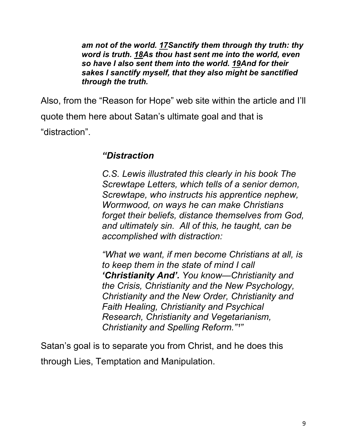*am not of the world. 17Sanctify them through thy truth: thy word is truth. 18As thou hast sent me into the world, even so have I also sent them into the world. 19And for their sakes I sanctify myself, that they also might be sanctified through the truth.*

Also, from the "Reason for Hope" web site within the article and I'll quote them here about Satan's ultimate goal and that is "distraction".

#### *"Distraction*

*C.S. Lewis illustrated this clearly in his book The Screwtape Letters, which tells of a senior demon, Screwtape, who instructs his apprentice nephew, Wormwood, on ways he can make Christians forget their beliefs, distance themselves from God, and ultimately sin. All of this, he taught, can be accomplished with distraction:*

*"What we want, if men become Christians at all, is to keep them in the state of mind I call 'Christianity And'. You know—Christianity and the Crisis, Christianity and the New Psychology, Christianity and the New Order, Christianity and Faith Healing, Christianity and Psychical Research, Christianity and Vegetarianism, Christianity and Spelling Reform.*"<sup>1</sup>"

Satan's goal is to separate you from Christ, and he does this through Lies, Temptation and Manipulation.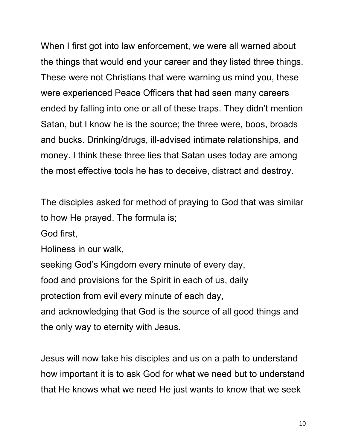When I first got into law enforcement, we were all warned about the things that would end your career and they listed three things. These were not Christians that were warning us mind you, these were experienced Peace Officers that had seen many careers ended by falling into one or all of these traps. They didn't mention Satan, but I know he is the source; the three were, boos, broads and bucks. Drinking/drugs, ill-advised intimate relationships, and money. I think these three lies that Satan uses today are among the most effective tools he has to deceive, distract and destroy.

The disciples asked for method of praying to God that was similar to how He prayed. The formula is;

God first,

Holiness in our walk,

seeking God's Kingdom every minute of every day, food and provisions for the Spirit in each of us, daily protection from evil every minute of each day, and acknowledging that God is the source of all good things and

the only way to eternity with Jesus.

Jesus will now take his disciples and us on a path to understand how important it is to ask God for what we need but to understand that He knows what we need He just wants to know that we seek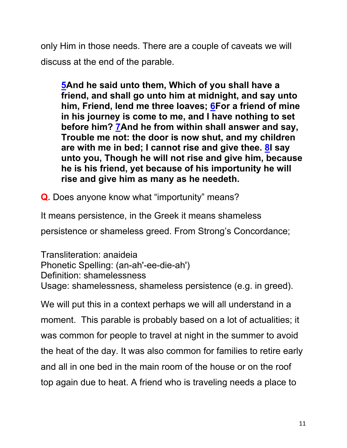only Him in those needs. There are a couple of caveats we will discuss at the end of the parable.

**5And he said unto them, Which of you shall have a friend, and shall go unto him at midnight, and say unto him, Friend, lend me three loaves; 6For a friend of mine in his journey is come to me, and I have nothing to set before him? 7And he from within shall answer and say, Trouble me not: the door is now shut, and my children are with me in bed; I cannot rise and give thee. 8I say unto you, Though he will not rise and give him, because he is his friend, yet because of his importunity he will rise and give him as many as he needeth.**

**Q.** Does anyone know what "importunity" means?

It means persistence, in the Greek it means shameless

persistence or shameless greed. From Strong's Concordance;

Transliteration: anaideia Phonetic Spelling: (an-ah'-ee-die-ah') Definition: shamelessness Usage: shamelessness, shameless persistence (e.g. in greed).

We will put this in a context perhaps we will all understand in a moment. This parable is probably based on a lot of actualities; it was common for people to travel at night in the summer to avoid the heat of the day. It was also common for families to retire early and all in one bed in the main room of the house or on the roof top again due to heat. A friend who is traveling needs a place to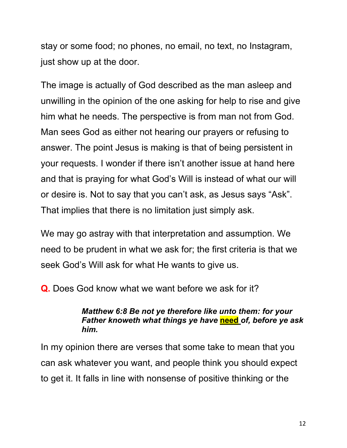stay or some food; no phones, no email, no text, no Instagram, just show up at the door.

The image is actually of God described as the man asleep and unwilling in the opinion of the one asking for help to rise and give him what he needs. The perspective is from man not from God. Man sees God as either not hearing our prayers or refusing to answer. The point Jesus is making is that of being persistent in your requests. I wonder if there isn't another issue at hand here and that is praying for what God's Will is instead of what our will or desire is. Not to say that you can't ask, as Jesus says "Ask". That implies that there is no limitation just simply ask.

We may go astray with that interpretation and assumption. We need to be prudent in what we ask for; the first criteria is that we seek God's Will ask for what He wants to give us.

**Q.** Does God know what we want before we ask for it?

#### *Matthew 6:8 Be not ye therefore like unto them: for your Father knoweth what things ye have* **need** *of, before ye ask him.*

In my opinion there are verses that some take to mean that you can ask whatever you want, and people think you should expect to get it. It falls in line with nonsense of positive thinking or the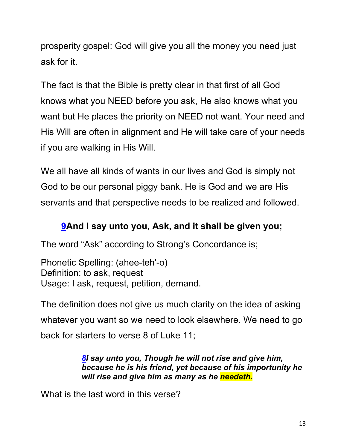prosperity gospel: God will give you all the money you need just ask for it.

The fact is that the Bible is pretty clear in that first of all God knows what you NEED before you ask, He also knows what you want but He places the priority on NEED not want. Your need and His Will are often in alignment and He will take care of your needs if you are walking in His Will.

We all have all kinds of wants in our lives and God is simply not God to be our personal piggy bank. He is God and we are His servants and that perspective needs to be realized and followed.

# **9And I say unto you, Ask, and it shall be given you;**

The word "Ask" according to Strong's Concordance is;

Phonetic Spelling: (ahee-teh'-o) Definition: to ask, request Usage: I ask, request, petition, demand.

The definition does not give us much clarity on the idea of asking whatever you want so we need to look elsewhere. We need to go back for starters to verse 8 of Luke 11;

> *8I say unto you, Though he will not rise and give him, because he is his friend, yet because of his importunity he will rise and give him as many as he needeth.*

What is the last word in this verse?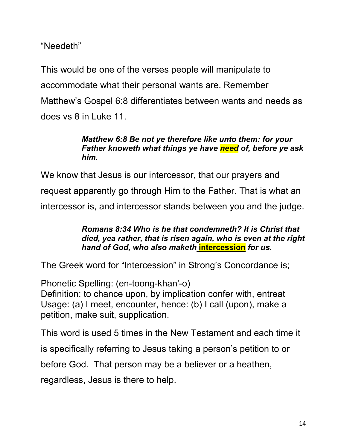"Needeth"

This would be one of the verses people will manipulate to accommodate what their personal wants are. Remember Matthew's Gospel 6:8 differentiates between wants and needs as does vs 8 in Luke 11.

#### *Matthew 6:8 Be not ye therefore like unto them: for your Father knoweth what things ye have need of, before ye ask him.*

We know that Jesus is our intercessor, that our prayers and request apparently go through Him to the Father. That is what an intercessor is, and intercessor stands between you and the judge.

#### *Romans 8:34 Who is he that condemneth? It is Christ that died, yea rather, that is risen again, who is even at the right hand of God, who also maketh* **intercession** *for us.*

The Greek word for "Intercession" in Strong's Concordance is;

Phonetic Spelling: (en-toong-khan'-o) Definition: to chance upon, by implication confer with, entreat Usage: (a) I meet, encounter, hence: (b) I call (upon), make a petition, make suit, supplication.

This word is used 5 times in the New Testament and each time it

is specifically referring to Jesus taking a person's petition to or

before God. That person may be a believer or a heathen,

regardless, Jesus is there to help.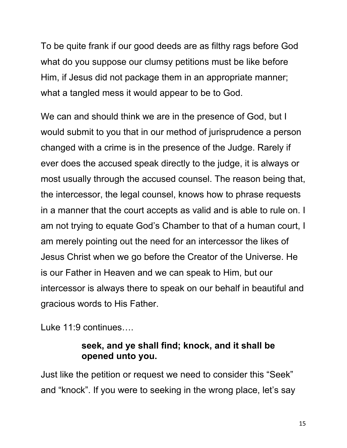To be quite frank if our good deeds are as filthy rags before God what do you suppose our clumsy petitions must be like before Him, if Jesus did not package them in an appropriate manner; what a tangled mess it would appear to be to God.

We can and should think we are in the presence of God, but I would submit to you that in our method of jurisprudence a person changed with a crime is in the presence of the Judge. Rarely if ever does the accused speak directly to the judge, it is always or most usually through the accused counsel. The reason being that, the intercessor, the legal counsel, knows how to phrase requests in a manner that the court accepts as valid and is able to rule on. I am not trying to equate God's Chamber to that of a human court, I am merely pointing out the need for an intercessor the likes of Jesus Christ when we go before the Creator of the Universe. He is our Father in Heaven and we can speak to Him, but our intercessor is always there to speak on our behalf in beautiful and gracious words to His Father.

Luke 11:9 continues….

#### **seek, and ye shall find; knock, and it shall be opened unto you.**

Just like the petition or request we need to consider this "Seek" and "knock". If you were to seeking in the wrong place, let's say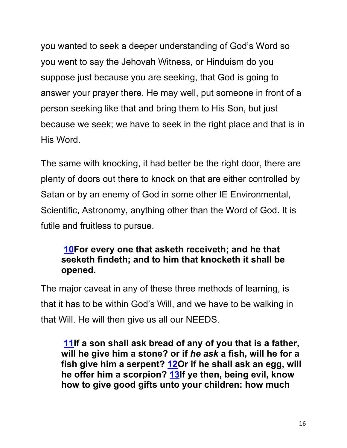you wanted to seek a deeper understanding of God's Word so you went to say the Jehovah Witness, or Hinduism do you suppose just because you are seeking, that God is going to answer your prayer there. He may well, put someone in front of a person seeking like that and bring them to His Son, but just because we seek; we have to seek in the right place and that is in His Word.

The same with knocking, it had better be the right door, there are plenty of doors out there to knock on that are either controlled by Satan or by an enemy of God in some other IE Environmental, Scientific, Astronomy, anything other than the Word of God. It is futile and fruitless to pursue.

#### **10For every one that asketh receiveth; and he that seeketh findeth; and to him that knocketh it shall be opened.**

The major caveat in any of these three methods of learning, is that it has to be within God's Will, and we have to be walking in that Will. He will then give us all our NEEDS.

**11If a son shall ask bread of any of you that is a father, will he give him a stone? or if** *he ask* **a fish, will he for a fish give him a serpent? 12Or if he shall ask an egg, will he offer him a scorpion? 13If ye then, being evil, know how to give good gifts unto your children: how much**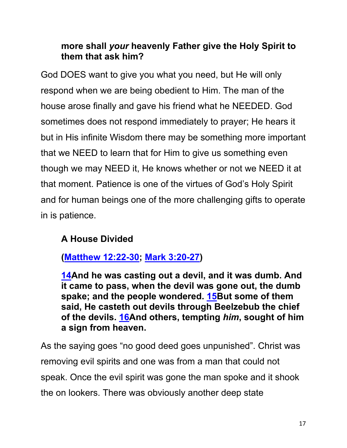### **more shall** *your* **heavenly Father give the Holy Spirit to them that ask him?**

God DOES want to give you what you need, but He will only respond when we are being obedient to Him. The man of the house arose finally and gave his friend what he NEEDED. God sometimes does not respond immediately to prayer; He hears it but in His infinite Wisdom there may be something more important that we NEED to learn that for Him to give us something even though we may NEED it, He knows whether or not we NEED it at that moment. Patience is one of the virtues of God's Holy Spirit and for human beings one of the more challenging gifts to operate in is patience.

# **A House Divided**

**(Matthew 12:22-30; Mark 3:20-27)**

**14And he was casting out a devil, and it was dumb. And it came to pass, when the devil was gone out, the dumb spake; and the people wondered. 15But some of them said, He casteth out devils through Beelzebub the chief of the devils. 16And others, tempting** *him***, sought of him a sign from heaven.**

As the saying goes "no good deed goes unpunished". Christ was removing evil spirits and one was from a man that could not speak. Once the evil spirit was gone the man spoke and it shook the on lookers. There was obviously another deep state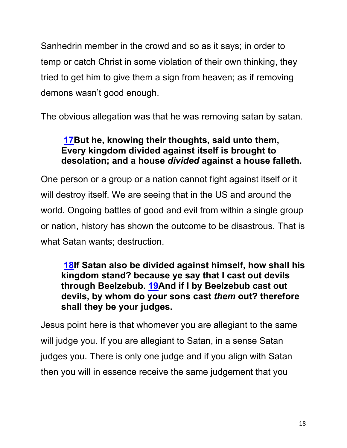Sanhedrin member in the crowd and so as it says; in order to temp or catch Christ in some violation of their own thinking, they tried to get him to give them a sign from heaven; as if removing demons wasn't good enough.

The obvious allegation was that he was removing satan by satan.

## **17But he, knowing their thoughts, said unto them, Every kingdom divided against itself is brought to desolation; and a house** *divided* **against a house falleth.**

One person or a group or a nation cannot fight against itself or it will destroy itself. We are seeing that in the US and around the world. Ongoing battles of good and evil from within a single group or nation, history has shown the outcome to be disastrous. That is what Satan wants; destruction.

#### **18If Satan also be divided against himself, how shall his kingdom stand? because ye say that I cast out devils through Beelzebub. 19And if I by Beelzebub cast out devils, by whom do your sons cast** *them* **out? therefore shall they be your judges.**

Jesus point here is that whomever you are allegiant to the same will judge you. If you are allegiant to Satan, in a sense Satan judges you. There is only one judge and if you align with Satan then you will in essence receive the same judgement that you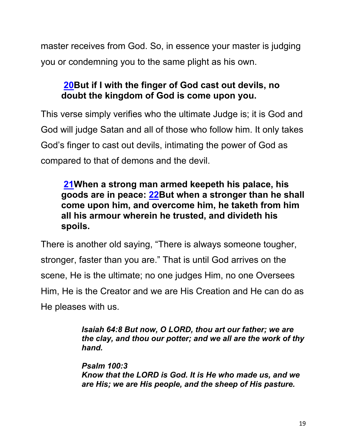master receives from God. So, in essence your master is judging you or condemning you to the same plight as his own.

# **20But if I with the finger of God cast out devils, no doubt the kingdom of God is come upon you.**

This verse simply verifies who the ultimate Judge is; it is God and God will judge Satan and all of those who follow him. It only takes God's finger to cast out devils, intimating the power of God as compared to that of demons and the devil.

**21When a strong man armed keepeth his palace, his goods are in peace: 22But when a stronger than he shall come upon him, and overcome him, he taketh from him all his armour wherein he trusted, and divideth his spoils.**

There is another old saying, "There is always someone tougher, stronger, faster than you are." That is until God arrives on the scene, He is the ultimate; no one judges Him, no one Oversees Him, He is the Creator and we are His Creation and He can do as He pleases with us.

> *Isaiah 64:8 But now, O LORD, thou art our father; we are the clay, and thou our potter; and we all are the work of thy hand.*

*Psalm 100:3 Know that the LORD is God. It is He who made us, and we are His; we are His people, and the sheep of His pasture.*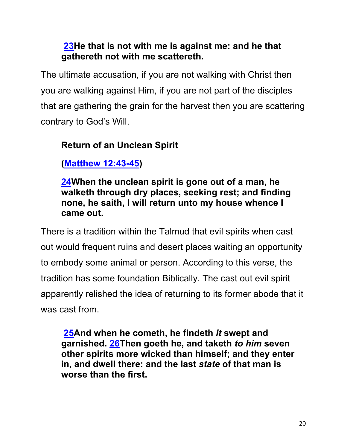### **23He that is not with me is against me: and he that gathereth not with me scattereth.**

The ultimate accusation, if you are not walking with Christ then you are walking against Him, if you are not part of the disciples that are gathering the grain for the harvest then you are scattering contrary to God's Will.

# **Return of an Unclean Spirit**

**(Matthew 12:43-45)**

**24When the unclean spirit is gone out of a man, he walketh through dry places, seeking rest; and finding none, he saith, I will return unto my house whence I came out.**

There is a tradition within the Talmud that evil spirits when cast out would frequent ruins and desert places waiting an opportunity to embody some animal or person. According to this verse, the tradition has some foundation Biblically. The cast out evil spirit apparently relished the idea of returning to its former abode that it was cast from.

**25And when he cometh, he findeth** *it* **swept and garnished. 26Then goeth he, and taketh** *to him* **seven other spirits more wicked than himself; and they enter in, and dwell there: and the last** *state* **of that man is worse than the first.**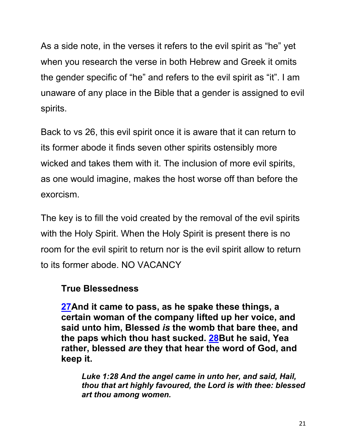As a side note, in the verses it refers to the evil spirit as "he" yet when you research the verse in both Hebrew and Greek it omits the gender specific of "he" and refers to the evil spirit as "it". I am unaware of any place in the Bible that a gender is assigned to evil spirits.

Back to vs 26, this evil spirit once it is aware that it can return to its former abode it finds seven other spirits ostensibly more wicked and takes them with it. The inclusion of more evil spirits, as one would imagine, makes the host worse off than before the exorcism.

The key is to fill the void created by the removal of the evil spirits with the Holy Spirit. When the Holy Spirit is present there is no room for the evil spirit to return nor is the evil spirit allow to return to its former abode. NO VACANCY

#### **True Blessedness**

**27And it came to pass, as he spake these things, a certain woman of the company lifted up her voice, and said unto him, Blessed** *is* **the womb that bare thee, and the paps which thou hast sucked. 28But he said, Yea rather, blessed** *are* **they that hear the word of God, and keep it.**

*Luke 1:28 And the angel came in unto her, and said, Hail, thou that art highly favoured, the Lord is with thee: blessed art thou among women.*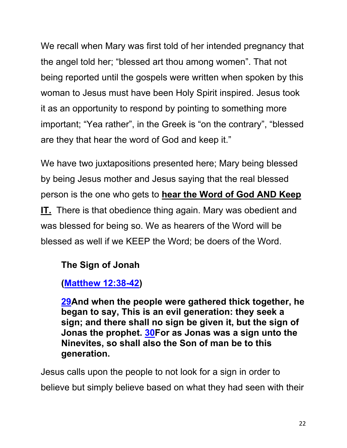We recall when Mary was first told of her intended pregnancy that the angel told her; "blessed art thou among women". That not being reported until the gospels were written when spoken by this woman to Jesus must have been Holy Spirit inspired. Jesus took it as an opportunity to respond by pointing to something more important; "Yea rather", in the Greek is "on the contrary", "blessed are they that hear the word of God and keep it."

We have two juxtapositions presented here; Mary being blessed by being Jesus mother and Jesus saying that the real blessed person is the one who gets to **hear the Word of God AND Keep IT.** There is that obedience thing again. Mary was obedient and was blessed for being so. We as hearers of the Word will be blessed as well if we KEEP the Word; be doers of the Word.

## **The Sign of Jonah**

# **(Matthew 12:38-42)**

**29And when the people were gathered thick together, he began to say, This is an evil generation: they seek a sign; and there shall no sign be given it, but the sign of Jonas the prophet. 30For as Jonas was a sign unto the Ninevites, so shall also the Son of man be to this generation.**

Jesus calls upon the people to not look for a sign in order to believe but simply believe based on what they had seen with their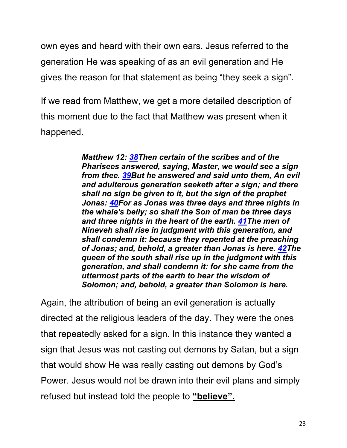own eyes and heard with their own ears. Jesus referred to the generation He was speaking of as an evil generation and He gives the reason for that statement as being "they seek a sign".

If we read from Matthew, we get a more detailed description of this moment due to the fact that Matthew was present when it happened.

> *Matthew 12: 38Then certain of the scribes and of the Pharisees answered, saying, Master, we would see a sign from thee. 39But he answered and said unto them, An evil and adulterous generation seeketh after a sign; and there shall no sign be given to it, but the sign of the prophet Jonas: 40For as Jonas was three days and three nights in the whale's belly; so shall the Son of man be three days and three nights in the heart of the earth. 41The men of Nineveh shall rise in judgment with this generation, and shall condemn it: because they repented at the preaching of Jonas; and, behold, a greater than Jonas is here. 42The queen of the south shall rise up in the judgment with this generation, and shall condemn it: for she came from the uttermost parts of the earth to hear the wisdom of Solomon; and, behold, a greater than Solomon is here.*

Again, the attribution of being an evil generation is actually directed at the religious leaders of the day. They were the ones that repeatedly asked for a sign. In this instance they wanted a sign that Jesus was not casting out demons by Satan, but a sign that would show He was really casting out demons by God's Power. Jesus would not be drawn into their evil plans and simply refused but instead told the people to **"believe".**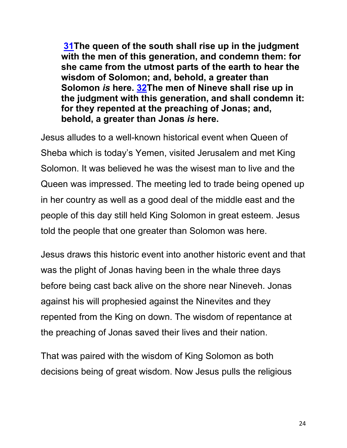**31The queen of the south shall rise up in the judgment with the men of this generation, and condemn them: for she came from the utmost parts of the earth to hear the wisdom of Solomon; and, behold, a greater than Solomon** *is* **here. 32The men of Nineve shall rise up in the judgment with this generation, and shall condemn it: for they repented at the preaching of Jonas; and, behold, a greater than Jonas** *is* **here.**

Jesus alludes to a well-known historical event when Queen of Sheba which is today's Yemen, visited Jerusalem and met King Solomon. It was believed he was the wisest man to live and the Queen was impressed. The meeting led to trade being opened up in her country as well as a good deal of the middle east and the people of this day still held King Solomon in great esteem. Jesus told the people that one greater than Solomon was here.

Jesus draws this historic event into another historic event and that was the plight of Jonas having been in the whale three days before being cast back alive on the shore near Nineveh. Jonas against his will prophesied against the Ninevites and they repented from the King on down. The wisdom of repentance at the preaching of Jonas saved their lives and their nation.

That was paired with the wisdom of King Solomon as both decisions being of great wisdom. Now Jesus pulls the religious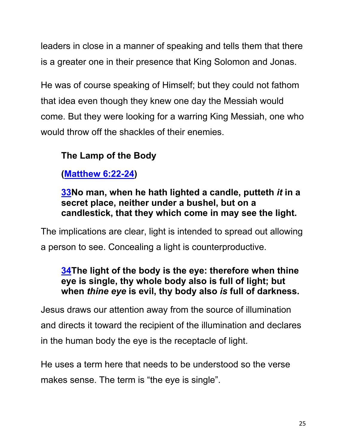leaders in close in a manner of speaking and tells them that there is a greater one in their presence that King Solomon and Jonas.

He was of course speaking of Himself; but they could not fathom that idea even though they knew one day the Messiah would come. But they were looking for a warring King Messiah, one who would throw off the shackles of their enemies.

# **The Lamp of the Body**

**(Matthew 6:22-24)**

### **33No man, when he hath lighted a candle, putteth** *it* **in a secret place, neither under a bushel, but on a candlestick, that they which come in may see the light.**

The implications are clear, light is intended to spread out allowing a person to see. Concealing a light is counterproductive.

### **34The light of the body is the eye: therefore when thine eye is single, thy whole body also is full of light; but when** *thine eye* **is evil, thy body also** *is* **full of darkness.**

Jesus draws our attention away from the source of illumination and directs it toward the recipient of the illumination and declares in the human body the eye is the receptacle of light.

He uses a term here that needs to be understood so the verse makes sense. The term is "the eye is single".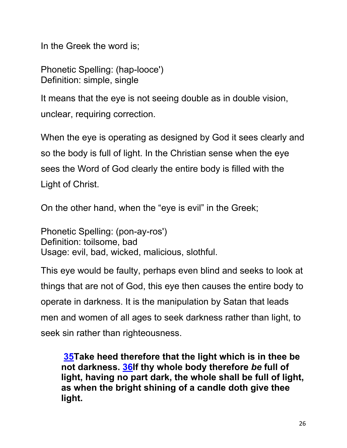In the Greek the word is;

Phonetic Spelling: (hap-looce') Definition: simple, single

It means that the eye is not seeing double as in double vision, unclear, requiring correction.

When the eye is operating as designed by God it sees clearly and so the body is full of light. In the Christian sense when the eye sees the Word of God clearly the entire body is filled with the Light of Christ.

On the other hand, when the "eye is evil" in the Greek;

Phonetic Spelling: (pon-ay-ros') Definition: toilsome, bad Usage: evil, bad, wicked, malicious, slothful.

This eye would be faulty, perhaps even blind and seeks to look at things that are not of God, this eye then causes the entire body to operate in darkness. It is the manipulation by Satan that leads men and women of all ages to seek darkness rather than light, to seek sin rather than righteousness.

**35Take heed therefore that the light which is in thee be not darkness. 36If thy whole body therefore** *be* **full of light, having no part dark, the whole shall be full of light, as when the bright shining of a candle doth give thee light.**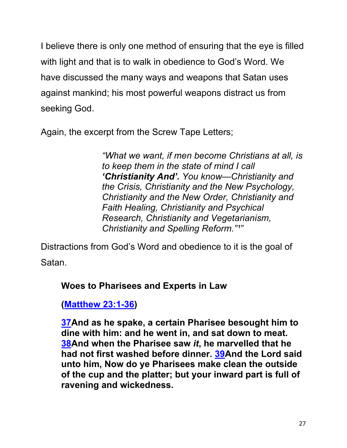I believe there is only one method of ensuring that the eye is filled with light and that is to walk in obedience to God's Word. We have discussed the many ways and weapons that Satan uses against mankind; his most powerful weapons distract us from seeking God.

Again, the excerpt from the Screw Tape Letters;

*"What we want, if men become Christians at all, is to keep them in the state of mind I call 'Christianity And'. You know—Christianity and the Crisis, Christianity and the New Psychology, Christianity and the New Order, Christianity and Faith Healing, Christianity and Psychical Research, Christianity and Vegetarianism, Christianity and Spelling Reform.*"1"

Distractions from God's Word and obedience to it is the goal of Satan.

#### **Woes to Pharisees and Experts in Law**

**(Matthew 23:1-36)**

**37And as he spake, a certain Pharisee besought him to dine with him: and he went in, and sat down to meat. 38And when the Pharisee saw** *it***, he marvelled that he had not first washed before dinner. 39And the Lord said unto him, Now do ye Pharisees make clean the outside of the cup and the platter; but your inward part is full of ravening and wickedness.**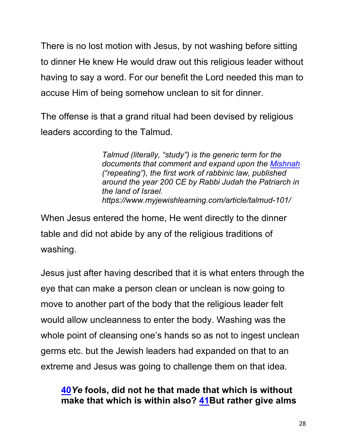There is no lost motion with Jesus, by not washing before sitting to dinner He knew He would draw out this religious leader without having to say a word. For our benefit the Lord needed this man to accuse Him of being somehow unclean to sit for dinner.

The offense is that a grand ritual had been devised by religious leaders according to the Talmud.

> *Talmud (literally, "study") is the generic term for the documents that comment and expand upon the Mishnah ("repeating"), the first work of rabbinic law, published around the year 200 CE by Rabbi Judah the Patriarch in the land of Israel. https://www.myjewishlearning.com/article/talmud-101/*

When Jesus entered the home, He went directly to the dinner table and did not abide by any of the religious traditions of washing.

Jesus just after having described that it is what enters through the eye that can make a person clean or unclean is now going to move to another part of the body that the religious leader felt would allow uncleanness to enter the body. Washing was the whole point of cleansing one's hands so as not to ingest unclean germs etc. but the Jewish leaders had expanded on that to an extreme and Jesus was going to challenge them on that idea.

## **40***Ye* **fools, did not he that made that which is without make that which is within also? 41But rather give alms**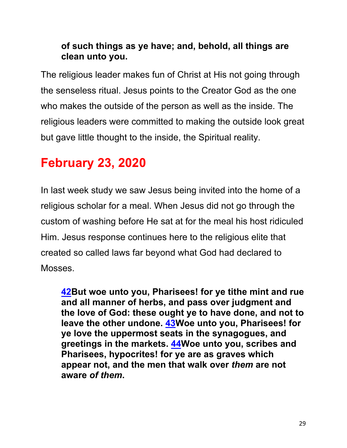## **of such things as ye have; and, behold, all things are clean unto you.**

The religious leader makes fun of Christ at His not going through the senseless ritual. Jesus points to the Creator God as the one who makes the outside of the person as well as the inside. The religious leaders were committed to making the outside look great but gave little thought to the inside, the Spiritual reality.

# **February 23, 2020**

In last week study we saw Jesus being invited into the home of a religious scholar for a meal. When Jesus did not go through the custom of washing before He sat at for the meal his host ridiculed Him. Jesus response continues here to the religious elite that created so called laws far beyond what God had declared to Mosses.

**42But woe unto you, Pharisees! for ye tithe mint and rue and all manner of herbs, and pass over judgment and the love of God: these ought ye to have done, and not to leave the other undone. 43Woe unto you, Pharisees! for ye love the uppermost seats in the synagogues, and greetings in the markets. 44Woe unto you, scribes and Pharisees, hypocrites! for ye are as graves which appear not, and the men that walk over** *them* **are not aware** *of them***.**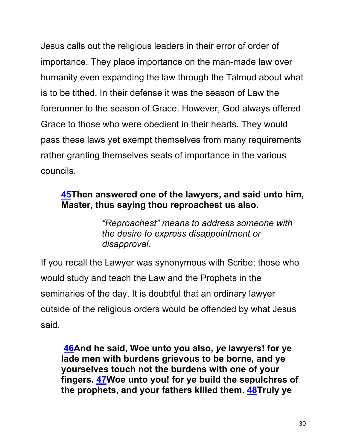Jesus calls out the religious leaders in their error of order of importance. They place importance on the man-made law over humanity even expanding the law through the Talmud about what is to be tithed. In their defense it was the season of Law the forerunner to the season of Grace. However, God always offered Grace to those who were obedient in their hearts. They would pass these laws yet exempt themselves from many requirements rather granting themselves seats of importance in the various councils.

#### **45Then answered one of the lawyers, and said unto him, Master, thus saying thou reproachest us also.**

*"Reproachest" means to address someone with the desire to express disappointment or disapproval.* 

If you recall the Lawyer was synonymous with Scribe; those who would study and teach the Law and the Prophets in the seminaries of the day. It is doubtful that an ordinary lawyer outside of the religious orders would be offended by what Jesus said.

**46And he said, Woe unto you also,** *ye* **lawyers! for ye lade men with burdens grievous to be borne, and ye yourselves touch not the burdens with one of your fingers. 47Woe unto you! for ye build the sepulchres of the prophets, and your fathers killed them. 48Truly ye**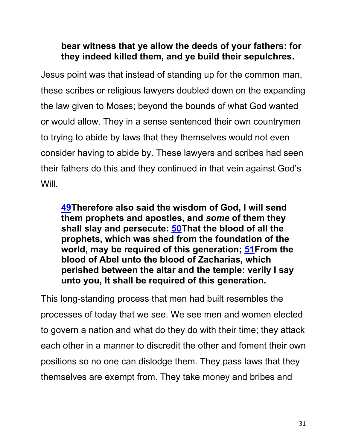#### **bear witness that ye allow the deeds of your fathers: for they indeed killed them, and ye build their sepulchres.**

Jesus point was that instead of standing up for the common man, these scribes or religious lawyers doubled down on the expanding the law given to Moses; beyond the bounds of what God wanted or would allow. They in a sense sentenced their own countrymen to trying to abide by laws that they themselves would not even consider having to abide by. These lawyers and scribes had seen their fathers do this and they continued in that vein against God's Will.

**49Therefore also said the wisdom of God, I will send them prophets and apostles, and** *some* **of them they shall slay and persecute: 50That the blood of all the prophets, which was shed from the foundation of the world, may be required of this generation; 51From the blood of Abel unto the blood of Zacharias, which perished between the altar and the temple: verily I say unto you, It shall be required of this generation.**

This long-standing process that men had built resembles the processes of today that we see. We see men and women elected to govern a nation and what do they do with their time; they attack each other in a manner to discredit the other and foment their own positions so no one can dislodge them. They pass laws that they themselves are exempt from. They take money and bribes and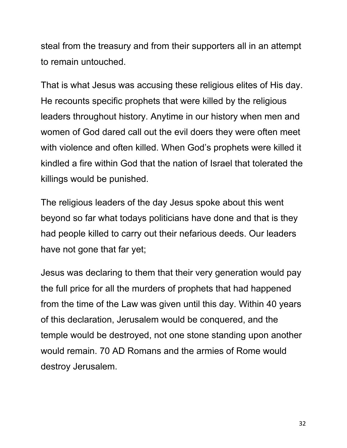steal from the treasury and from their supporters all in an attempt to remain untouched.

That is what Jesus was accusing these religious elites of His day. He recounts specific prophets that were killed by the religious leaders throughout history. Anytime in our history when men and women of God dared call out the evil doers they were often meet with violence and often killed. When God's prophets were killed it kindled a fire within God that the nation of Israel that tolerated the killings would be punished.

The religious leaders of the day Jesus spoke about this went beyond so far what todays politicians have done and that is they had people killed to carry out their nefarious deeds. Our leaders have not gone that far yet;

Jesus was declaring to them that their very generation would pay the full price for all the murders of prophets that had happened from the time of the Law was given until this day. Within 40 years of this declaration, Jerusalem would be conquered, and the temple would be destroyed, not one stone standing upon another would remain. 70 AD Romans and the armies of Rome would destroy Jerusalem.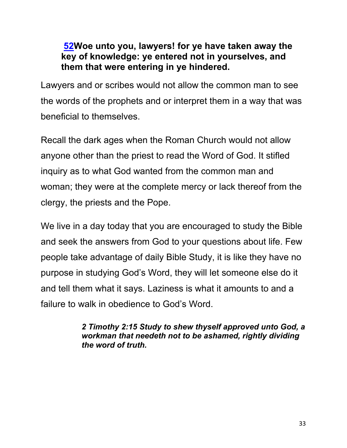#### **52Woe unto you, lawyers! for ye have taken away the key of knowledge: ye entered not in yourselves, and them that were entering in ye hindered.**

Lawyers and or scribes would not allow the common man to see the words of the prophets and or interpret them in a way that was beneficial to themselves.

Recall the dark ages when the Roman Church would not allow anyone other than the priest to read the Word of God. It stifled inquiry as to what God wanted from the common man and woman; they were at the complete mercy or lack thereof from the clergy, the priests and the Pope.

We live in a day today that you are encouraged to study the Bible and seek the answers from God to your questions about life. Few people take advantage of daily Bible Study, it is like they have no purpose in studying God's Word, they will let someone else do it and tell them what it says. Laziness is what it amounts to and a failure to walk in obedience to God's Word.

> *2 Timothy 2:15 Study to shew thyself approved unto God, a workman that needeth not to be ashamed, rightly dividing the word of truth.*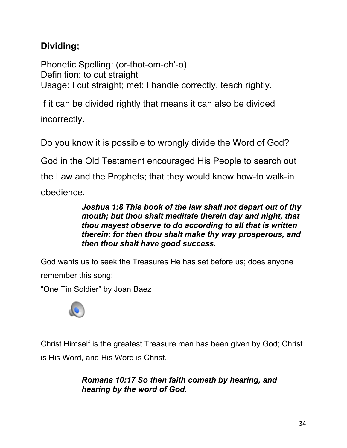# **Dividing;**

Phonetic Spelling: (or-thot-om-eh'-o) Definition: to cut straight Usage: I cut straight; met: I handle correctly, teach rightly.

If it can be divided rightly that means it can also be divided incorrectly.

Do you know it is possible to wrongly divide the Word of God?

God in the Old Testament encouraged His People to search out

the Law and the Prophets; that they would know how-to walk-in

obedience.

*Joshua 1:8 This book of the law shall not depart out of thy mouth; but thou shalt meditate therein day and night, that thou mayest observe to do according to all that is written therein: for then thou shalt make thy way prosperous, and then thou shalt have good success.*

God wants us to seek the Treasures He has set before us; does anyone remember this song;

"One Tin Soldier" by Joan Baez



Christ Himself is the greatest Treasure man has been given by God; Christ is His Word, and His Word is Christ.

> *Romans 10:17 So then faith cometh by hearing, and hearing by the word of God.*